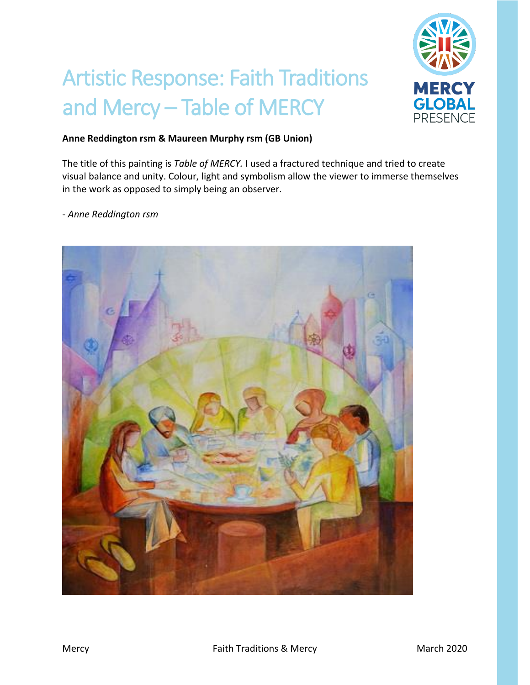

## Artistic Response: Faith Traditions and Mercy – Table of MERCY

## **Anne Reddington rsm & Maureen Murphy rsm (GB Union)**

The title of this painting is *Table of MERCY.* I used a fractured technique and tried to create visual balance and unity. Colour, light and symbolism allow the viewer to immerse themselves in the work as opposed to simply being an observer.

- *Anne Reddington rsm*